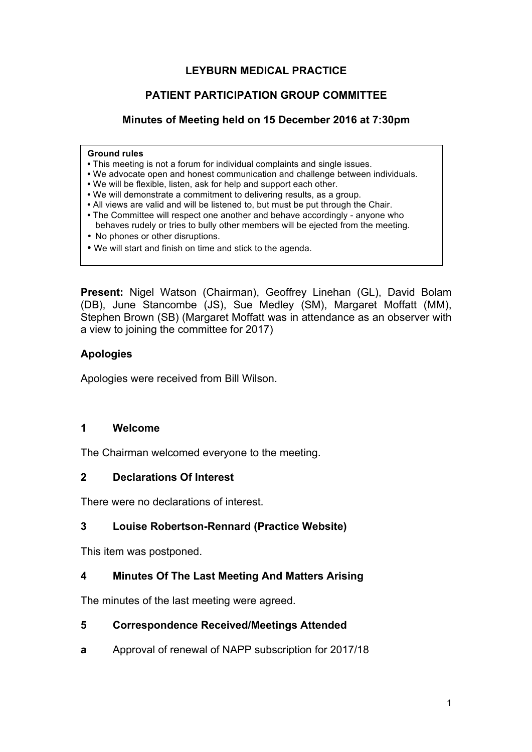# **LEYBURN MEDICAL PRACTICE**

# **PATIENT PARTICIPATION GROUP COMMITTEE**

# **Minutes of Meeting held on 15 December 2016 at 7:30pm**

#### **Ground rules**

- This meeting is not a forum for individual complaints and single issues.
- We advocate open and honest communication and challenge between individuals.
- We will be flexible, listen, ask for help and support each other.
- We will demonstrate a commitment to delivering results, as a group.
- All views are valid and will be listened to, but must be put through the Chair.
- The Committee will respect one another and behave accordingly anyone who behaves rudely or tries to bully other members will be ejected from the meeting.
- No phones or other disruptions.
- We will start and finish on time and stick to the agenda.

**Present:** Nigel Watson (Chairman), Geoffrey Linehan (GL), David Bolam (DB), June Stancombe (JS), Sue Medley (SM), Margaret Moffatt (MM), Stephen Brown (SB) (Margaret Moffatt was in attendance as an observer with a view to joining the committee for 2017)

# **Apologies**

Apologies were received from Bill Wilson.

#### **1 Welcome**

The Chairman welcomed everyone to the meeting.

#### **2 Declarations Of Interest**

There were no declarations of interest.

# **3 Louise Robertson-Rennard (Practice Website)**

This item was postponed.

# **4 Minutes Of The Last Meeting And Matters Arising**

The minutes of the last meeting were agreed.

#### **5 Correspondence Received/Meetings Attended**

**a** Approval of renewal of NAPP subscription for 2017/18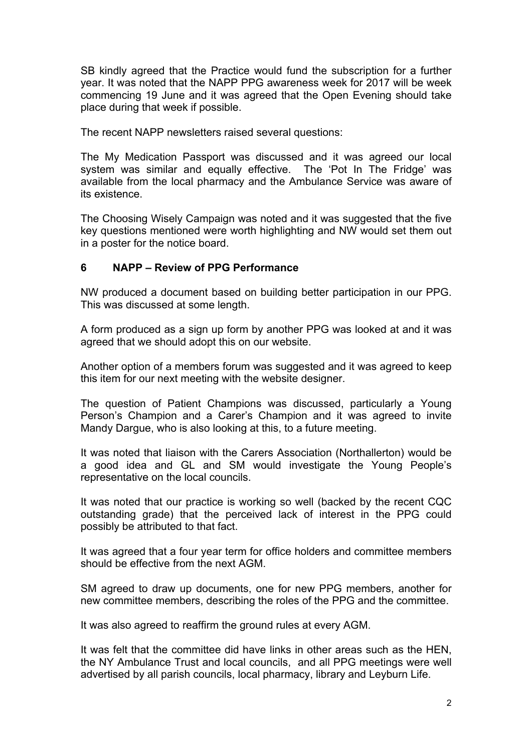SB kindly agreed that the Practice would fund the subscription for a further year. It was noted that the NAPP PPG awareness week for 2017 will be week commencing 19 June and it was agreed that the Open Evening should take place during that week if possible.

The recent NAPP newsletters raised several questions:

The My Medication Passport was discussed and it was agreed our local system was similar and equally effective. The 'Pot In The Fridge' was available from the local pharmacy and the Ambulance Service was aware of its existence.

The Choosing Wisely Campaign was noted and it was suggested that the five key questions mentioned were worth highlighting and NW would set them out in a poster for the notice board.

#### **6 NAPP – Review of PPG Performance**

NW produced a document based on building better participation in our PPG. This was discussed at some length.

A form produced as a sign up form by another PPG was looked at and it was agreed that we should adopt this on our website.

Another option of a members forum was suggested and it was agreed to keep this item for our next meeting with the website designer.

The question of Patient Champions was discussed, particularly a Young Person's Champion and a Carer's Champion and it was agreed to invite Mandy Dargue, who is also looking at this, to a future meeting.

It was noted that liaison with the Carers Association (Northallerton) would be a good idea and GL and SM would investigate the Young People's representative on the local councils.

It was noted that our practice is working so well (backed by the recent CQC outstanding grade) that the perceived lack of interest in the PPG could possibly be attributed to that fact.

It was agreed that a four year term for office holders and committee members should be effective from the next AGM.

SM agreed to draw up documents, one for new PPG members, another for new committee members, describing the roles of the PPG and the committee.

It was also agreed to reaffirm the ground rules at every AGM.

It was felt that the committee did have links in other areas such as the HEN, the NY Ambulance Trust and local councils, and all PPG meetings were well advertised by all parish councils, local pharmacy, library and Leyburn Life.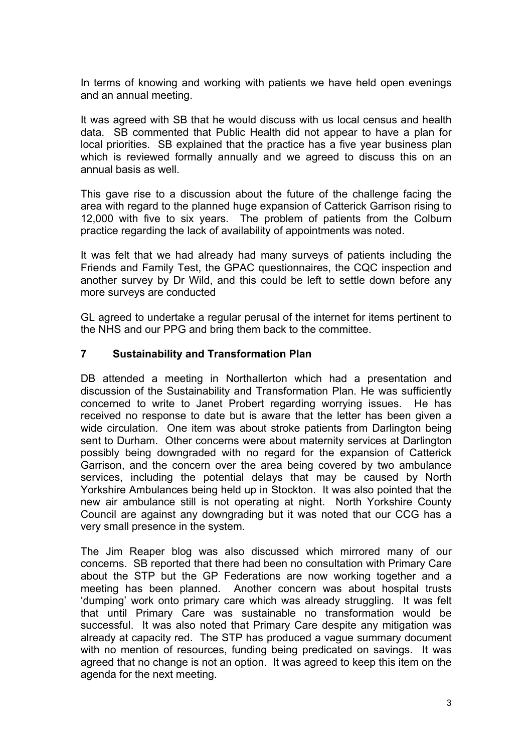In terms of knowing and working with patients we have held open evenings and an annual meeting.

It was agreed with SB that he would discuss with us local census and health data. SB commented that Public Health did not appear to have a plan for local priorities. SB explained that the practice has a five year business plan which is reviewed formally annually and we agreed to discuss this on an annual basis as well.

This gave rise to a discussion about the future of the challenge facing the area with regard to the planned huge expansion of Catterick Garrison rising to 12,000 with five to six years. The problem of patients from the Colburn practice regarding the lack of availability of appointments was noted.

It was felt that we had already had many surveys of patients including the Friends and Family Test, the GPAC questionnaires, the CQC inspection and another survey by Dr Wild, and this could be left to settle down before any more surveys are conducted

GL agreed to undertake a regular perusal of the internet for items pertinent to the NHS and our PPG and bring them back to the committee.

#### **7 Sustainability and Transformation Plan**

DB attended a meeting in Northallerton which had a presentation and discussion of the Sustainability and Transformation Plan. He was sufficiently concerned to write to Janet Probert regarding worrying issues. He has received no response to date but is aware that the letter has been given a wide circulation. One item was about stroke patients from Darlington being sent to Durham. Other concerns were about maternity services at Darlington possibly being downgraded with no regard for the expansion of Catterick Garrison, and the concern over the area being covered by two ambulance services, including the potential delays that may be caused by North Yorkshire Ambulances being held up in Stockton. It was also pointed that the new air ambulance still is not operating at night. North Yorkshire County Council are against any downgrading but it was noted that our CCG has a very small presence in the system.

The Jim Reaper blog was also discussed which mirrored many of our concerns. SB reported that there had been no consultation with Primary Care about the STP but the GP Federations are now working together and a meeting has been planned. Another concern was about hospital trusts 'dumping' work onto primary care which was already struggling. It was felt that until Primary Care was sustainable no transformation would be successful. It was also noted that Primary Care despite any mitigation was already at capacity red. The STP has produced a vague summary document with no mention of resources, funding being predicated on savings. It was agreed that no change is not an option. It was agreed to keep this item on the agenda for the next meeting.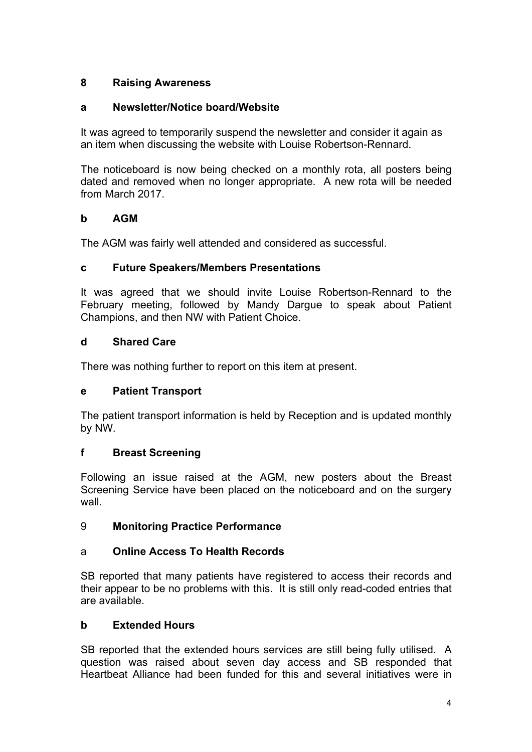# **8 Raising Awareness**

# **a Newsletter/Notice board/Website**

It was agreed to temporarily suspend the newsletter and consider it again as an item when discussing the website with Louise Robertson-Rennard.

The noticeboard is now being checked on a monthly rota, all posters being dated and removed when no longer appropriate. A new rota will be needed from March 2017.

# **b AGM**

The AGM was fairly well attended and considered as successful.

# **c Future Speakers/Members Presentations**

It was agreed that we should invite Louise Robertson-Rennard to the February meeting, followed by Mandy Dargue to speak about Patient Champions, and then NW with Patient Choice.

# **d Shared Care**

There was nothing further to report on this item at present.

# **e Patient Transport**

The patient transport information is held by Reception and is updated monthly by NW.

# **f Breast Screening**

Following an issue raised at the AGM, new posters about the Breast Screening Service have been placed on the noticeboard and on the surgery wall

# 9 **Monitoring Practice Performance**

# a **Online Access To Health Records**

SB reported that many patients have registered to access their records and their appear to be no problems with this. It is still only read-coded entries that are available.

# **b Extended Hours**

SB reported that the extended hours services are still being fully utilised. A question was raised about seven day access and SB responded that Heartbeat Alliance had been funded for this and several initiatives were in